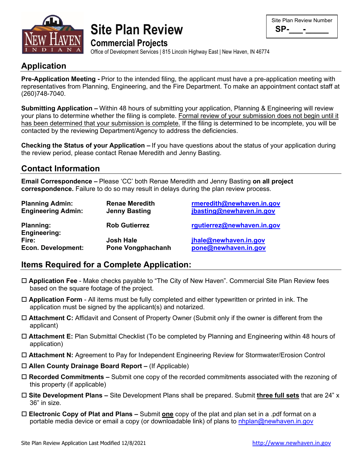

|                            | <b>Site Plan Review</b> |
|----------------------------|-------------------------|
| <b>Commercial Projects</b> |                         |

| Site Plan Review Number |
|-------------------------|
| SP-                     |

Office of Development Services | 815 Lincoln Highway East | New Haven, IN 46774

## **Application**

**Pre-Application Meeting -** Prior to the intended filing, the applicant must have a pre-application meeting with representatives from Planning, Engineering, and the Fire Department. To make an appointment contact staff at (260)748-7040.

**Submitting Application –** Within 48 hours of submitting your application, Planning & Engineering will review your plans to determine whether the filing is complete. Formal review of your submission does not begin until it has been determined that your submission is complete. If the filing is determined to be incomplete, you will be contacted by the reviewing Department/Agency to address the deficiencies.

**Checking the Status of your Application –** If you have questions about the status of your application during the review period, please contact Renae Meredith and Jenny Basting.

### **Contact Information**

**Email Correspondence –** Please 'CC' both Renae Meredith and Jenny Basting **on all project correspondence.** Failure to do so may result in delays during the plan review process.

| <b>Planning Admin:</b>                  | <b>Renae Meredith</b> | rmeredith@newhaven.in.gov  |
|-----------------------------------------|-----------------------|----------------------------|
| <b>Engineering Admin:</b>               | <b>Jenny Basting</b>  | jbasting@newhaven.in.gov   |
| <b>Planning:</b><br><b>Engineering:</b> | <b>Rob Gutierrez</b>  | rgutierrez@newhaven.in.gov |
| Fire:                                   | <b>Josh Hale</b>      | jhale@newhaven.in.gov      |
| Econ. Development:                      | Pone Vongphachanh     | pone@newhaven.in.gov       |

### **Items Required for a Complete Application:**

- **Application Fee** Make checks payable to "The City of New Haven". Commercial Site Plan Review fees based on the square footage of the project.
- **Application Form** All items must be fully completed and either typewritten or printed in ink. The application must be signed by the applicant(s) and notarized.
- **Attachment C:** Affidavit and Consent of Property Owner (Submit only if the owner is different from the applicant)
- **Attachment E:** Plan Submittal Checklist (To be completed by Planning and Engineering within 48 hours of application)
- **Attachment N:** Agreement to Pay for Independent Engineering Review for Stormwater/Erosion Control
- **Allen County Drainage Board Report –** (If Applicable)
- **Recorded Commitments –** Submit one copy of the recorded commitments associated with the rezoning of this property (if applicable)
- **Site Development Plans –** Site Development Plans shall be prepared. Submit **three full sets** that are 24" x 36" in size.
- **Electronic Copy of Plat and Plans –** Submit **one** copy of the plat and plan set in a .pdf format on a portable media device or email a copy (or downloadable link) of plans to [nhplan@newhaven.in.gov](mailto:nhplan@newhaven.in.gov)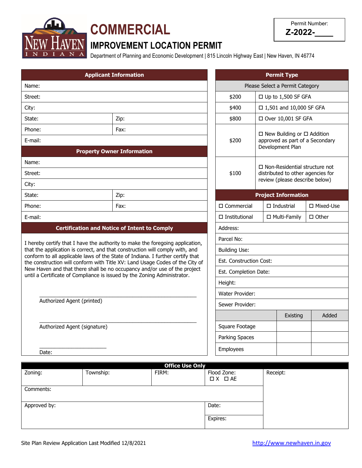

# **COMMERCIAL**

| Permit Number: |
|----------------|
| Z-2022-        |

# **IMPROVEMENT LOCATION PERMIT**

Department of Planning and Economic Development | 815 Lincoln Highway East | New Haven, IN 46774

|                                                                                | <b>Applicant Information</b>                                                 |                 |                                 |                                                                           | <b>Permit Type</b>             |                  |
|--------------------------------------------------------------------------------|------------------------------------------------------------------------------|-----------------|---------------------------------|---------------------------------------------------------------------------|--------------------------------|------------------|
| Name:                                                                          |                                                                              |                 | Please Select a Permit Category |                                                                           |                                |                  |
| Street:                                                                        |                                                                              |                 | \$200                           | $\Box$ Up to 1,500 SF GFA                                                 |                                |                  |
| City:                                                                          |                                                                              |                 | \$400                           |                                                                           | □ 1,501 and 10,000 SF GFA      |                  |
| State:                                                                         | Zip:                                                                         |                 | \$800<br>□ Over 10,001 SF GFA   |                                                                           |                                |                  |
| Phone:                                                                         | Fax:                                                                         |                 | \$200                           | $\Box$ New Building or $\Box$ Addition<br>approved as part of a Secondary |                                |                  |
| E-mail:                                                                        |                                                                              |                 |                                 |                                                                           |                                |                  |
|                                                                                | <b>Property Owner Information</b>                                            |                 |                                 |                                                                           | Development Plan               |                  |
| Name:                                                                          |                                                                              |                 |                                 |                                                                           |                                |                  |
| Street:                                                                        |                                                                              |                 | \$100                           | $\Box$ Non-Residential structure not<br>distributed to other agencies for |                                |                  |
| City:                                                                          |                                                                              |                 |                                 |                                                                           | review (please describe below) |                  |
| State:                                                                         | Zip:                                                                         |                 |                                 |                                                                           | <b>Project Information</b>     |                  |
| Phone:                                                                         | Fax:                                                                         |                 | $\square$ Commercial            |                                                                           | $\Box$ Industrial              | $\Box$ Mixed-Use |
| E-mail:                                                                        |                                                                              |                 | $\Box$ Institutional            |                                                                           | □ Multi-Family                 | $\Box$ Other     |
|                                                                                | <b>Certification and Notice of Intent to Comply</b>                          |                 | Address:                        |                                                                           |                                |                  |
| I hereby certify that I have the authority to make the foregoing application,  |                                                                              |                 | Parcel No:                      |                                                                           |                                |                  |
| that the application is correct, and that construction will comply with, and   |                                                                              |                 | <b>Building Use:</b>            |                                                                           |                                |                  |
| conform to all applicable laws of the State of Indiana. I further certify that | the construction will conform with Title XV: Land Usage Codes of the City of |                 | Est. Construction Cost:         |                                                                           |                                |                  |
| until a Certificate of Compliance is issued by the Zoning Administrator.       | New Haven and that there shall be no occupancy and/or use of the project     |                 | Est. Completion Date:           |                                                                           |                                |                  |
|                                                                                |                                                                              |                 | Height:                         |                                                                           |                                |                  |
|                                                                                |                                                                              | Water Provider: |                                 |                                                                           |                                |                  |
| Authorized Agent (printed)                                                     |                                                                              |                 | Sewer Provider:                 |                                                                           |                                |                  |
|                                                                                |                                                                              |                 |                                 |                                                                           | Existing                       | Added            |
| Authorized Agent (signature)                                                   |                                                                              |                 | Square Footage                  |                                                                           |                                |                  |
|                                                                                |                                                                              |                 | <b>Parking Spaces</b>           |                                                                           |                                |                  |
| Date:                                                                          |                                                                              |                 | Employees                       |                                                                           |                                |                  |

| <b>Office Use Only</b> |           |       |                        |          |  |
|------------------------|-----------|-------|------------------------|----------|--|
| Zoning:                | Township: | FIRM: | Flood Zone:            | Receipt: |  |
|                        |           |       | $\Box$ $X$ $\Box$ $AE$ |          |  |
| Comments:              |           |       |                        |          |  |
|                        |           |       |                        |          |  |
| Approved by:           |           |       | Date:                  |          |  |
|                        |           |       |                        |          |  |
|                        |           |       | Expires:               |          |  |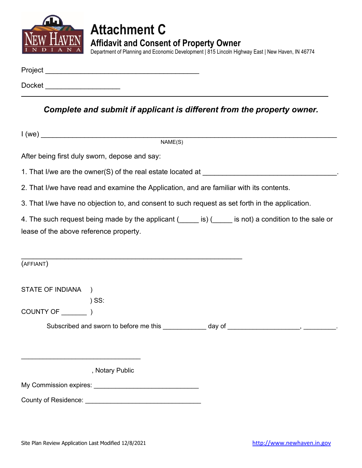

# **Attachment C Affidavit and Consent of Property Owner**

Department of Planning and Economic Development | 815 Lincoln Highway East | New Haven, IN 46774

| Project       |  |  |  |
|---------------|--|--|--|
| <b>Docket</b> |  |  |  |

*Complete and submit if applicant is different from the property owner.*

|                                        | NAME(S)                                                                                         |                                                                                                |
|----------------------------------------|-------------------------------------------------------------------------------------------------|------------------------------------------------------------------------------------------------|
|                                        | After being first duly sworn, depose and say:                                                   |                                                                                                |
|                                        |                                                                                                 |                                                                                                |
|                                        | 2. That I/we have read and examine the Application, and are familiar with its contents.         |                                                                                                |
|                                        | 3. That I/we have no objection to, and consent to such request as set forth in the application. |                                                                                                |
|                                        |                                                                                                 | 4. The such request being made by the applicant (eldonology is not) a condition to the sale or |
| lease of the above reference property. |                                                                                                 |                                                                                                |
|                                        |                                                                                                 |                                                                                                |
| (AFFIANT)                              |                                                                                                 |                                                                                                |
| STATE OF INDIANA )                     |                                                                                                 |                                                                                                |
|                                        | $)$ SS:                                                                                         |                                                                                                |
|                                        |                                                                                                 |                                                                                                |
|                                        |                                                                                                 | Subscribed and sworn to before me this ____________ day of ____________________, __________.   |
|                                        |                                                                                                 |                                                                                                |
|                                        |                                                                                                 |                                                                                                |
|                                        | , Notary Public                                                                                 |                                                                                                |
|                                        |                                                                                                 |                                                                                                |
| <b>County of Residence:</b>            |                                                                                                 |                                                                                                |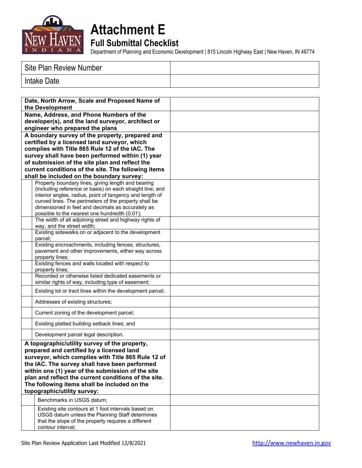

# **Attachment E**

**Full Submittal Checklist**

Department of Planning and Economic Development | 815 Lincoln Highway East | New Haven, IN 46774

| Site Plan Review Number |  |
|-------------------------|--|
| Intake Date             |  |

| Date, North Arrow, Scale and Proposed Name of<br>the Development                                                                                                                                                                                         |                                                                                                                                                                                                                                                                                                                                                                                                       |  |
|----------------------------------------------------------------------------------------------------------------------------------------------------------------------------------------------------------------------------------------------------------|-------------------------------------------------------------------------------------------------------------------------------------------------------------------------------------------------------------------------------------------------------------------------------------------------------------------------------------------------------------------------------------------------------|--|
| Name, Address, and Phone Numbers of the<br>developer(s), and the land surveyor, architect or<br>engineer who prepared the plans                                                                                                                          |                                                                                                                                                                                                                                                                                                                                                                                                       |  |
| A boundary survey of the property, prepared and<br>certified by a licensed land surveyor, which<br>complies with Title 865 Rule 12 of the IAC. The<br>survey shall have been performed within (1) year<br>of submission of the site plan and reflect the |                                                                                                                                                                                                                                                                                                                                                                                                       |  |
|                                                                                                                                                                                                                                                          | current conditions of the site. The following items<br>shall be included on the boundary survey:                                                                                                                                                                                                                                                                                                      |  |
|                                                                                                                                                                                                                                                          | Property boundary lines, giving length and bearing<br>(including reference or basis) on each straight line; and<br>interior angles, radius, point of tangency and length of<br>curved lines. The perimeters of the property shall be<br>dimensioned in feet and decimals as accurately as<br>possible to the nearest one hundredth (0.01);<br>The width of all adjoining street and highway rights of |  |
|                                                                                                                                                                                                                                                          | way, and the street width;                                                                                                                                                                                                                                                                                                                                                                            |  |
|                                                                                                                                                                                                                                                          | Existing sidewalks on or adjacent to the development<br>parcel;                                                                                                                                                                                                                                                                                                                                       |  |
|                                                                                                                                                                                                                                                          | Existing encroachments, including fences, structures,<br>pavement and other improvements, either way across<br>property lines;                                                                                                                                                                                                                                                                        |  |
|                                                                                                                                                                                                                                                          | Existing fences and walls located with respect to<br>property lines:                                                                                                                                                                                                                                                                                                                                  |  |
|                                                                                                                                                                                                                                                          | Recorded or otherwise listed dedicated easements or<br>similar rights of way, including type of easement;                                                                                                                                                                                                                                                                                             |  |
|                                                                                                                                                                                                                                                          | Existing lot or tract lines within the development parcel;                                                                                                                                                                                                                                                                                                                                            |  |
|                                                                                                                                                                                                                                                          | Addresses of existing structures;                                                                                                                                                                                                                                                                                                                                                                     |  |
|                                                                                                                                                                                                                                                          | Current zoning of the development parcel;                                                                                                                                                                                                                                                                                                                                                             |  |
|                                                                                                                                                                                                                                                          | Existing platted building setback lines; and                                                                                                                                                                                                                                                                                                                                                          |  |
|                                                                                                                                                                                                                                                          | Development parcel legal description.                                                                                                                                                                                                                                                                                                                                                                 |  |
|                                                                                                                                                                                                                                                          | A topographic/utility survey of the property,<br>prepared and certified by a licensed land<br>surveyor, which complies with Title 865 Rule 12 of<br>the IAC. The survey shall have been performed<br>within one (1) year of the submission of the site<br>plan and reflect the current conditions of the site.<br>The following items shall be included on the<br>topographic/utility survey:         |  |
|                                                                                                                                                                                                                                                          | Benchmarks in USGS datum;                                                                                                                                                                                                                                                                                                                                                                             |  |
|                                                                                                                                                                                                                                                          | Existing site contours at 1 foot intervals based on<br>USGS datum unless the Planning Staff determines<br>that the slope of the property requires a different<br>contour interval;                                                                                                                                                                                                                    |  |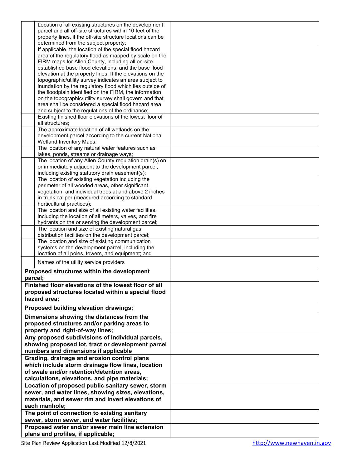| Location of all existing structures on the development                                |  |
|---------------------------------------------------------------------------------------|--|
|                                                                                       |  |
| parcel and all off-site structures within 10 feet of the                              |  |
| property lines, if the off-site structure locations can be                            |  |
| determined from the subject property;                                                 |  |
|                                                                                       |  |
| If applicable, the location of the special flood hazard                               |  |
| area of the regulatory flood as mapped by scale on the                                |  |
|                                                                                       |  |
| FIRM maps for Allen County, including all on-site                                     |  |
| established base flood elevations, and the base flood                                 |  |
| elevation at the property lines. If the elevations on the                             |  |
|                                                                                       |  |
| topographic/utility survey indicates an area subject to                               |  |
| inundation by the regulatory flood which lies outside of                              |  |
| the floodplain identified on the FIRM, the information                                |  |
|                                                                                       |  |
| on the topographic/utility survey shall govern and that                               |  |
| area shall be considered a special flood hazard area                                  |  |
| and subject to the regulations of the ordinance;                                      |  |
|                                                                                       |  |
| Existing finished floor elevations of the lowest floor of                             |  |
| all structures;                                                                       |  |
| The approximate location of all wetlands on the                                       |  |
|                                                                                       |  |
| development parcel according to the current National                                  |  |
| <b>Wetland Inventory Maps;</b>                                                        |  |
|                                                                                       |  |
| The location of any natural water features such as                                    |  |
| lakes, ponds, streams or drainage ways;                                               |  |
| The location of any Allen County regulation drain(s) on                               |  |
|                                                                                       |  |
| or immediately adjacent to the development parcel,                                    |  |
| including existing statutory drain easement(s);                                       |  |
|                                                                                       |  |
| The location of existing vegetation including the                                     |  |
| perimeter of all wooded areas, other significant                                      |  |
| vegetation, and individual trees at and above 2 inches                                |  |
|                                                                                       |  |
| in trunk caliper (measured according to standard                                      |  |
| horticultural practices);                                                             |  |
| The location and size of all existing water facilities,                               |  |
|                                                                                       |  |
| including the location of all meters, valves, and fire                                |  |
| hydrants on the or serving the development parcel;                                    |  |
|                                                                                       |  |
| The location and size of existing natural gas                                         |  |
| distribution facilities on the development parcel;                                    |  |
| The location and size of existing communication                                       |  |
| systems on the development parcel, including the                                      |  |
|                                                                                       |  |
|                                                                                       |  |
| location of all poles, towers, and equipment; and                                     |  |
|                                                                                       |  |
| Names of the utility service providers                                                |  |
|                                                                                       |  |
| Proposed structures within the development                                            |  |
|                                                                                       |  |
| parcel;                                                                               |  |
| Finished floor elevations of the lowest floor of all                                  |  |
|                                                                                       |  |
| proposed structures located within a special flood                                    |  |
| hazard area;                                                                          |  |
|                                                                                       |  |
| Proposed building elevation drawings;                                                 |  |
|                                                                                       |  |
| Dimensions showing the distances from the                                             |  |
|                                                                                       |  |
| proposed structures and/or parking areas to                                           |  |
| property and right-of-way lines;                                                      |  |
|                                                                                       |  |
| Any proposed subdivisions of individual parcels,                                      |  |
| showing proposed lot, tract or development parcel                                     |  |
|                                                                                       |  |
| numbers and dimensions if applicable                                                  |  |
| Grading, drainage and erosion control plans                                           |  |
|                                                                                       |  |
| which include storm drainage flow lines, location                                     |  |
| of swale and/or retention/detention areas,                                            |  |
|                                                                                       |  |
| calculations, elevations, and pipe materials;                                         |  |
| Location of proposed public sanitary sewer, storm                                     |  |
|                                                                                       |  |
| sewer, and water lines, showing sizes, elevations,                                    |  |
| materials, and sewer rim and invert elevations of                                     |  |
|                                                                                       |  |
| each manhole;                                                                         |  |
|                                                                                       |  |
| The point of connection to existing sanitary                                          |  |
| sewer, storm sewer, and water facilities;                                             |  |
|                                                                                       |  |
| Proposed water and/or sewer main line extension<br>plans and profiles, if applicable; |  |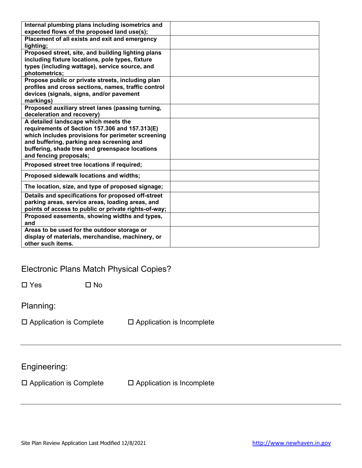| Internal plumbing plans including isometrics and     |  |
|------------------------------------------------------|--|
| expected flows of the proposed land use(s);          |  |
| Placement of all exists and exit and emergency       |  |
| lighting;                                            |  |
| Proposed street, site, and building lighting plans   |  |
| including fixture locations, pole types, fixture     |  |
| types (including wattage), service source, and       |  |
| photometrics;                                        |  |
| Propose public or private streets, including plan    |  |
| profiles and cross sections, names, traffic control  |  |
| devices (signals, signs, and/or pavement             |  |
|                                                      |  |
| markings)                                            |  |
| Proposed auxiliary street lanes (passing turning,    |  |
| deceleration and recovery)                           |  |
| A detailed landscape which meets the                 |  |
| requirements of Section 157.306 and 157.313(E)       |  |
| which includes provisions for perimeter screening    |  |
| and buffering, parking area screening and            |  |
| buffering, shade tree and greenspace locations       |  |
| and fencing proposals;                               |  |
| Proposed street tree locations if required;          |  |
|                                                      |  |
| Proposed sidewalk locations and widths;              |  |
| The location, size, and type of proposed signage;    |  |
| Details and specifications for proposed off-street   |  |
| parking areas, service areas, loading areas, and     |  |
| points of access to public or private rights-of-way; |  |
| Proposed easements, showing widths and types,        |  |
| and                                                  |  |
| Areas to be used for the outdoor storage or          |  |
|                                                      |  |
| display of materials, merchandise, machinery, or     |  |
| other such items.                                    |  |

## Electronic Plans Match Physical Copies?

| $\Box$ Yes | $\Box$ No |
|------------|-----------|
|            |           |

Planning:

| $\Box$ Application is Complete | $\square$ Application is Incomplete |
|--------------------------------|-------------------------------------|
|--------------------------------|-------------------------------------|

Engineering:

 $\square$  Application is Complete  $\square$  Application is Incomplete